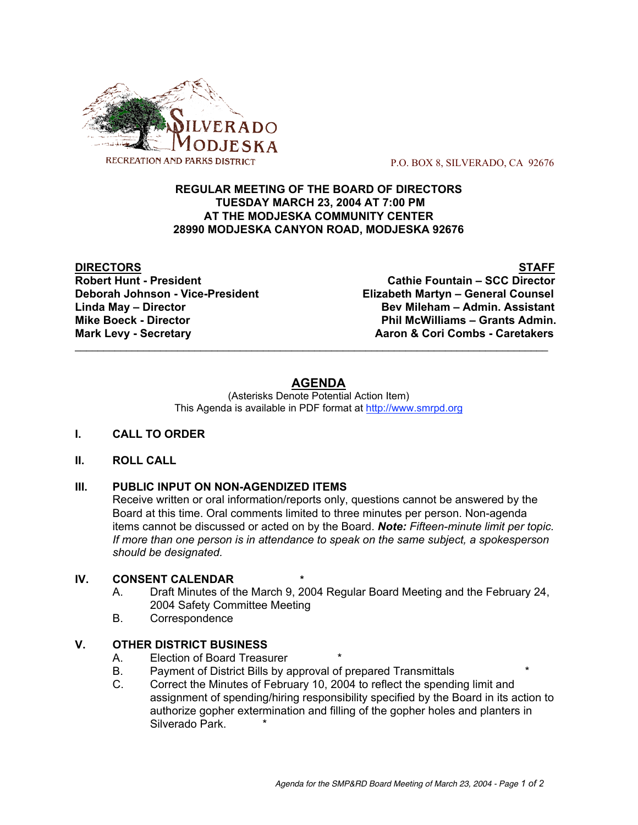

P.O. BOX 8, SILVERADO, CA 92676

#### **REGULAR MEETING OF THE BOARD OF DIRECTORS TUESDAY MARCH 23, 2004 AT 7:00 PM AT THE MODJESKA COMMUNITY CENTER 28990 MODJESKA CANYON ROAD, MODJESKA 92676**

# **DIRECTORS STAFF**

**Robert Hunt - President Cathie Fountain – SCC Director Deborah Johnson - Vice-President Elizabeth Martyn – General Counsel Linda May – Director Bev Mileham – Admin. Assistant Mike Boeck - Director Phil McWilliams – Grants Admin. Mark Levy - Secretary Aaron & Cori Combs - Caretakers**

# **AGENDA**

 $\mathcal{L}_\text{max}$  , and the set of the set of the set of the set of the set of the set of the set of the set of the set of the set of the set of the set of the set of the set of the set of the set of the set of the set of the

(Asterisks Denote Potential Action Item) This Agenda is available in PDF format at http://www.smrpd.org

#### **I. CALL TO ORDER**

#### **II. ROLL CALL**

#### **III. PUBLIC INPUT ON NON-AGENDIZED ITEMS**

Receive written or oral information/reports only, questions cannot be answered by the Board at this time. Oral comments limited to three minutes per person. Non-agenda items cannot be discussed or acted on by the Board. *Note: Fifteen-minute limit per topic. If more than one person is in attendance to speak on the same subject, a spokesperson should be designated.*

#### **IV. CONSENT CALENDAR \***

- A. Draft Minutes of the March 9, 2004 Regular Board Meeting and the February 24, 2004 Safety Committee Meeting
- B. Correspondence

#### **V. OTHER DISTRICT BUSINESS**

- A. Election of Board Treasurer
- B. Payment of District Bills by approval of prepared Transmittals
- C. Correct the Minutes of February 10, 2004 to reflect the spending limit and assignment of spending/hiring responsibility specified by the Board in its action to authorize gopher extermination and filling of the gopher holes and planters in Silverado Park.